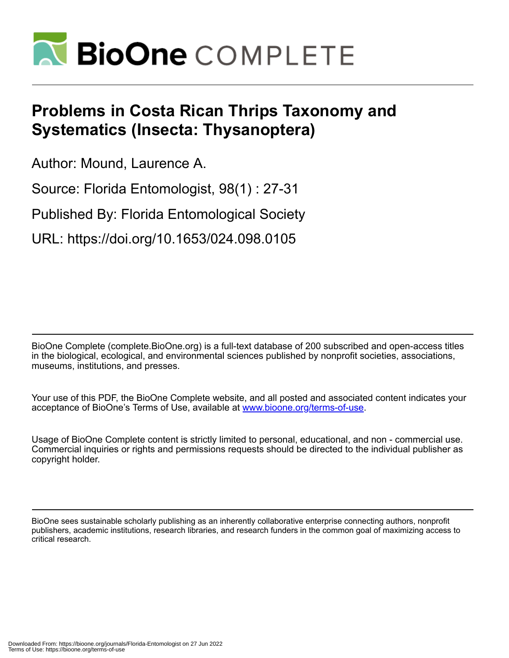

## **Problems in Costa Rican Thrips Taxonomy and Systematics (Insecta: Thysanoptera)**

Author: Mound, Laurence A.

Source: Florida Entomologist, 98(1) : 27-31

Published By: Florida Entomological Society

URL: https://doi.org/10.1653/024.098.0105

BioOne Complete (complete.BioOne.org) is a full-text database of 200 subscribed and open-access titles in the biological, ecological, and environmental sciences published by nonprofit societies, associations, museums, institutions, and presses.

Your use of this PDF, the BioOne Complete website, and all posted and associated content indicates your acceptance of BioOne's Terms of Use, available at www.bioone.org/terms-of-use.

Usage of BioOne Complete content is strictly limited to personal, educational, and non - commercial use. Commercial inquiries or rights and permissions requests should be directed to the individual publisher as copyright holder.

BioOne sees sustainable scholarly publishing as an inherently collaborative enterprise connecting authors, nonprofit publishers, academic institutions, research libraries, and research funders in the common goal of maximizing access to critical research.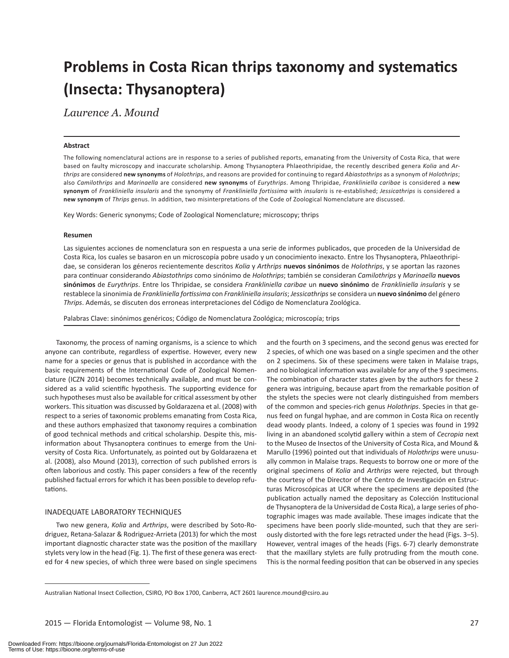# **Problems in Costa Rican thrips taxonomy and systematics (Insecta: Thysanoptera)**

*Laurence A. Mound*

### **Abstract**

The following nomenclatural actions are in response to a series of published reports, emanating from the University of Costa Rica, that were based on faulty microscopy and inaccurate scholarship. Among Thysanoptera Phlaeothripidae, the recently described genera *Kolia* and *Arthrips* are considered **new synonyms** of *Holothrips*, and reasons are provided for continuing to regard *Abiastothrips* as a synonym of *Holothrips*; also *Camilothrips* and *Marinaella* are considered **new synonyms** of *Eurythrips*. Among Thripidae, *Frankliniella caribae* is considered a **new synonym** of *Frankliniella insularis* and the synonymy of *Frankliniella fortissima* with *insularis* is re-established; *Jessicathrips* is considered a **new synonym** of *Thrips* genus. In addition, two misinterpretations of the Code of Zoological Nomenclature are discussed.

Key Words: Generic synonyms; Code of Zoological Nomenclature; microscopy; thrips

#### **Resumen**

Las siguientes acciones de nomenclatura son en respuesta a una serie de informes publicados, que proceden de la Universidad de Costa Rica, los cuales se basaron en un microscopía pobre usado y un conocimiento inexacto. Entre los Thysanoptera, Phlaeothripidae, se consideran los géneros recientemente descritos *Kolia* y *Arthrips* **nuevos sinónimos** de *Holothrips*, y se aportan las razones para continuar considerando *Abiastothrips* como sinónimo de *Holothrips*; también se consideran *Camilothrips* y *Marinaella* **nuevos sinónimos** de *Eurythrips*. Entre los Thripidae, se considera *Frankliniella caribae* un **nuevo sinónimo** de *Frankliniella insularis* y se restablece la sinonimia de *Frankliniella fortissima* con *Frankliniella insularis*; *Jessicathrips* se considera un **nuevo sinónimo** del género *Thrips*. Además, se discuten dos erroneas interpretaciones del Código de Nomenclatura Zoológica.

Palabras Clave: sinónimos genéricos; Código de Nomenclatura Zoológica; microscopía; trips

Taxonomy, the process of naming organisms, is a science to which anyone can contribute, regardless of expertise. However, every new name for a species or genus that is published in accordance with the basic requirements of the International Code of Zoological Nomenclature (ICZN 2014) becomes technically available, and must be considered as a valid scientific hypothesis. The supporting evidence for such hypotheses must also be available for critical assessment by other workers. This situation was discussed by Goldarazena et al. (2008) with respect to a series of taxonomic problems emanating from Costa Rica, and these authors emphasized that taxonomy requires a combination of good technical methods and critical scholarship. Despite this, misinformation about Thysanoptera continues to emerge from the University of Costa Rica. Unfortunately, as pointed out by Goldarazena et al. (2008), also Mound (2013), correction of such published errors is often laborious and costly. This paper considers a few of the recently published factual errors for which it has been possible to develop refutations.

### INADEQUATE LABORATORY TECHNIQUES

Two new genera, *Kolia* and *Arthrips*, were described by Soto-Rodriguez, Retana-Salazar & Rodriguez-Arrieta (2013) for which the most important diagnostic character state was the position of the maxillary stylets very low in the head (Fig. 1). The first of these genera was erected for 4 new species, of which three were based on single specimens and the fourth on 3 specimens, and the second genus was erected for 2 species, of which one was based on a single specimen and the other on 2 specimens. Six of these specimens were taken in Malaise traps, and no biological information was available for any of the 9 specimens. The combination of character states given by the authors for these 2 genera was intriguing, because apart from the remarkable position of the stylets the species were not clearly distinguished from members of the common and species-rich genus *Holothrips*. Species in that genus feed on fungal hyphae, and are common in Costa Rica on recently dead woody plants. Indeed, a colony of 1 species was found in 1992 living in an abandoned scolytid gallery within a stem of *Cecropia* next to the Museo de Insectos of the University of Costa Rica, and Mound & Marullo (1996) pointed out that individuals of *Holothrips* were unusually common in Malaise traps. Requests to borrow one or more of the original specimens of *Kolia* and *Arthrips* were rejected, but through the courtesy of the Director of the Centro de Investigación en Estructuras Microscópicas at UCR where the specimens are deposited (the publication actually named the depositary as Colección Institucional de Thysanoptera de la Universidad de Costa Rica), a large series of photographic images was made available. These images indicate that the specimens have been poorly slide-mounted, such that they are seriously distorted with the fore legs retracted under the head (Figs. 3–5). However, ventral images of the heads (Figs. 6-7) clearly demonstrate that the maxillary stylets are fully protruding from the mouth cone. This is the normal feeding position that can be observed in any species

Australian National Insect Collection, CSIRO, PO Box 1700, Canberra, ACT 2601 laurence.mound@csiro.au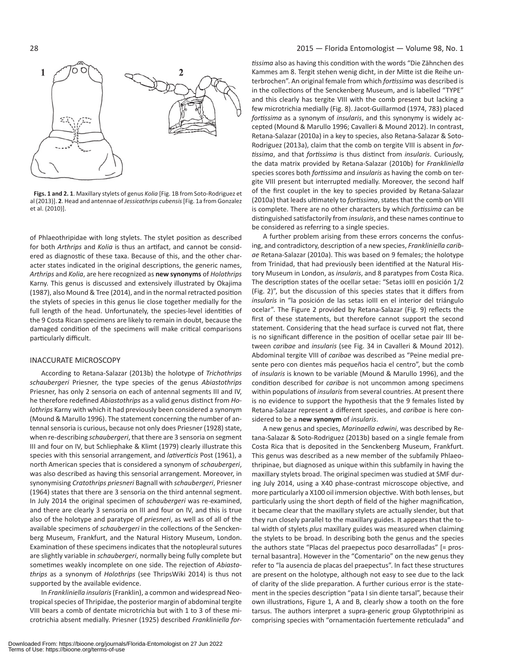

**Figs. 1 and 2. 1**. Maxillary stylets of genus *Kolia* [Fig. 1B from Soto-Rodriguez et al (2013)]. **2**. Head and antennae of *Jessicathrips cubensis* [Fig. 1a from Gonzalez et al. (2010)].

of Phlaeothripidae with long stylets. The stylet position as described for both *Arthrips* and *Kolia* is thus an artifact, and cannot be considered as diagnostic of these taxa. Because of this, and the other character states indicated in the original descriptions, the generic names, *Arthrips* and *Kolia*, are here recognized as **new synonyms** of *Holothrips* Karny. This genus is discussed and extensively illustrated by Okajima (1987), also Mound & Tree (2014), and in the normal retracted position the stylets of species in this genus lie close together medially for the full length of the head. Unfortunately, the species-level identities of the 9 Costa Rican specimens are likely to remain in doubt, because the damaged condition of the specimens will make critical comparisons particularly difficult.

#### INACCURATE MICROSCOPY

According to Retana-Salazar (2013b) the holotype of *Trichothrips schaubergeri* Priesner, the type species of the genus *Abiastothrips* Priesner, has only 2 sensoria on each of antennal segments III and IV, he therefore redefined *Abiastothrips* as a valid genus distinct from *Holothrips* Karny with which it had previously been considered a synonym (Mound & Marullo 1996). The statement concerning the number of antennal sensoria is curious, because not only does Priesner (1928) state, when re-describing *schaubergeri*, that there are 3 sensoria on segment III and four on IV, but Schliephake & Klimt (1979) clearly illustrate this species with this sensorial arrangement, and *lativerticis* Post (1961), a north American species that is considered a synonym of *schaubergeri*, was also described as having this sensorial arrangement. Moreover, in synonymising *Cratothrips priesneri* Bagnall with *schaubergeri*, Priesner (1964) states that there are 3 sensoria on the third antennal segment. In July 2014 the original specimen of *schaubergeri* was re-examined, and there are clearly 3 sensoria on III and four on IV, and this is true also of the holotype and paratype of *priesneri*, as well as of all of the available specimens of *schaubergeri* in the collections of the Senckenberg Museum, Frankfurt, and the Natural History Museum, London. Examination of these specimens indicates that the notopleural sutures are slightly variable in *schaubergeri*, normally being fully complete but sometimes weakly incomplete on one side. The rejection of *Abiastothrips* as a synonym of *Holothrips* (see ThripsWiki 2014) is thus not supported by the available evidence.

In *Frankliniella insularis* (Franklin), a common and widespread Neotropical species of Thripidae, the posterior margin of abdominal tergite VIII bears a comb of dentate microtrichia but with 1 to 3 of these microtrichia absent medially. Priesner (1925) described *Frankliniella for-*

*tissima* also as having this condition with the words "Die Zähnchen des Kammes am 8. Tergit stehen wenig dicht, in der Mitte ist die Reihe unterbrochen". An original female from which *fortissima* was described is in the collections of the Senckenberg Museum, and is labelled "TYPE" and this clearly has tergite VIII with the comb present but lacking a few microtrichia medially (Fig. 8). Jacot-Guillarmod (1974, 783) placed *fortissima* as a synonym of *insularis*, and this synonymy is widely accepted (Mound & Marullo 1996; Cavalleri & Mound 2012). In contrast, Retana-Salazar (2010a) in a key to species, also Retana-Salazar & Soto-Rodriguez (2013a), claim that the comb on tergite VIII is absent in *fortissima*, and that *fortissima* is thus distinct from *insularis*. Curiously, the data matrix provided by Retana-Salazar (2010b) for *Frankliniella* species scores both *fortissima* and *insularis* as having the comb on tergite VIII present but interrupted medially. Moreover, the second half of the first couplet in the key to species provided by Retana-Salazar (2010a) that leads ultimately to *fortissima*, states that the comb on VIII is complete. There are no other characters by which *fortissima* can be distinguished satisfactorily from *insularis*, and these names continue to be considered as referring to a single species.

A further problem arising from these errors concerns the confusing, and contradictory, description of a new species, *Frankliniella caribae* Retana-Salazar (2010a). This was based on 9 females; the holotype from Trinidad, that had previously been identified at the Natural History Museum in London, as *insularis*, and 8 paratypes from Costa Rica. The description states of the ocellar setae: "Setas ioIII en posición 1/2 (Fig. 2)", but the discussion of this species states that it differs from *insularis* in "la posición de las setas ioIII en el interior del triángulo ocelar". The Figure 2 provided by Retana-Salazar (Fig. 9) reflects the first of these statements, but therefore cannot support the second statement. Considering that the head surface is curved not flat, there is no significant difference in the position of ocellar setae pair III between *caribae* and *insularis* (see Fig. 34 in Cavalleri & Mound 2012). Abdominal tergite VIII of *caribae* was described as "Peine medial presente pero con dientes más pequeños hacia el centro", but the comb of *insularis* is known to be variable (Mound & Marullo 1996), and the condition described for *caribae* is not uncommon among specimens within populations of *insularis* from several countries. At present there is no evidence to support the hypothesis that the 9 females listed by Retana-Salazar represent a different species, and *caribae* is here considered to be a **new synonym** of *insularis*.

A new genus and species, *Marinaella edwini*, was described by Retana-Salazar & Soto-Rodriguez (2013b) based on a single female from Costa Rica that is deposited in the Senckenberg Museum, Frankfurt. This genus was described as a new member of the subfamily Phlaeothripinae, but diagnosed as unique within this subfamily in having the maxillary stylets broad. The original specimen was studied at SMF during July 2014, using a X40 phase-contrast microscope objective, and more particularly a X100 oil immersion objective. With both lenses, but particularly using the short depth of field of the higher magnification, it became clear that the maxillary stylets are actually slender, but that they run closely parallel to the maxillary guides. It appears that the total width of stylets *plus* maxillary guides was measured when claiming the stylets to be broad. In describing both the genus and the species the authors state "Placas del praepectus poco desarrolladas" [= prosternal basantra]. However in the "Comentario" on the new genus they refer to "la ausencia de placas del praepectus". In fact these structures are present on the holotype, although not easy to see due to the lack of clarity of the slide preparation. A further curious error is the statement in the species description "pata I sin diente tarsal", because their own illustrations, Figure 1, A and B, clearly show a tooth on the fore tarsus. The authors interpret a supra-generic group Glyptothripini as comprising species with "ornamentación fuertemente reticulada" and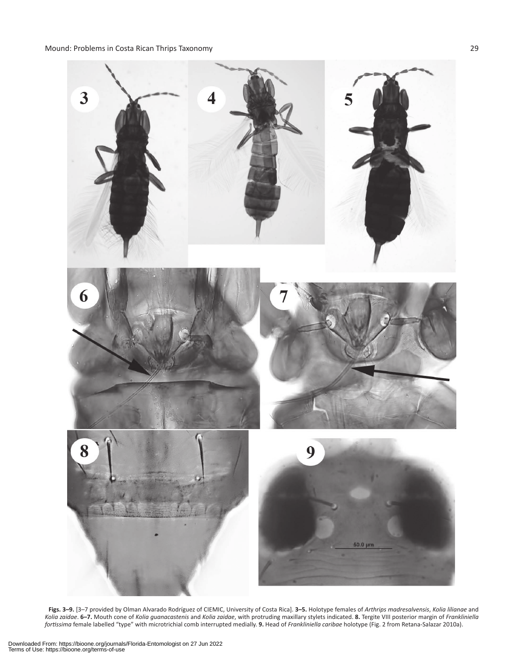Mound: Problems in Costa Rican Thrips Taxonomy 29



**Figs. 3–9.** [3–7 provided by Olman Alvarado Rodríguez of CIEMIC, University of Costa Rica]. **3–5.** Holotype females of *Arthrips madresalvensis*, *Kolia lilianae* and *Kolia zaidae*. **6–7.** Mouth cone of *Kolia guanacastenis* and *Kolia zaidae*, with protruding maxillary stylets indicated. **8.** Tergite VIII posterior margin of *Frankliniella fortissima* female labelled "type" with microtrichial comb interrupted medially. **9.** Head of *Frankliniella caribae* holotype (Fig. 2 from Retana-Salazar 2010a).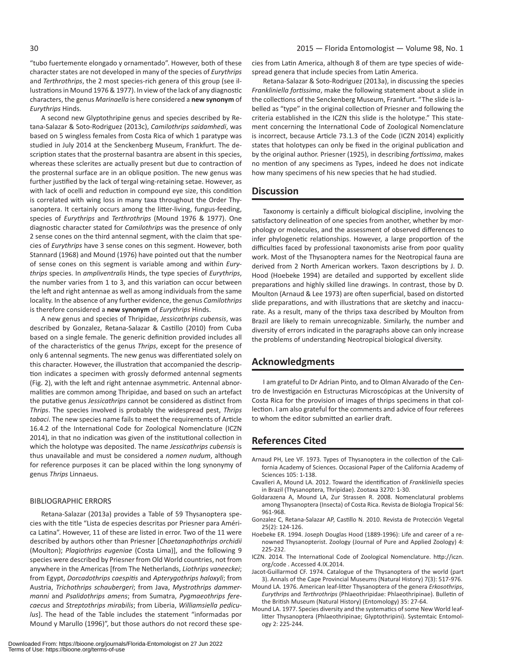"tubo fuertemente elongado y ornamentado". However, both of these character states are not developed in many of the species of *Eurythrips* and *Terthrothrips*, the 2 most species-rich genera of this group (see illustrations in Mound 1976 & 1977). In view of the lack of any diagnostic characters, the genus *Marinaella* is here considered a **new synonym** of *Eurythrips* Hinds.

A second new Glyptothripine genus and species described by Retana-Salazar & Soto-Rodriguez (2013c), *Camilothrips saidamhedi*, was based on 5 wingless females from Costa Rica of which 1 paratype was studied in July 2014 at the Senckenberg Museum, Frankfurt. The description states that the prosternal basantra are absent in this species, whereas these sclerites are actually present but due to contraction of the prosternal surface are in an oblique position. The new genus was further justified by the lack of tergal wing-retaining setae. However, as with lack of ocelli and reduction in compound eye size, this condition is correlated with wing loss in many taxa throughout the Order Thysanoptera. It certainly occurs among the litter-living, fungus-feeding, species of *Eurythrips* and *Terthrothrips* (Mound 1976 & 1977). One diagnostic character stated for *Camilothrips* was the presence of only 2 sense cones on the third antennal segment, with the claim that species of *Eurythrips* have 3 sense cones on this segment. However, both Stannard (1968) and Mound (1976) have pointed out that the number of sense cones on this segment is variable among and within *Eurythrips* species. In *ampliventralis* Hinds, the type species of *Eurythrips*, the number varies from 1 to 3, and this variation can occur between the left and right antennae as well as among individuals from the same locality. In the absence of any further evidence, the genus *Camilothrips*  is therefore considered a **new synonym** of *Eurythrips* Hinds.

A new genus and species of Thripidae, *Jessicathrips cubensis*, was described by Gonzalez, Retana-Salazar & Castillo (2010) from Cuba based on a single female. The generic definition provided includes all of the characteristics of the genus *Thrips*, except for the presence of only 6 antennal segments. The new genus was differentiated solely on this character. However, the illustration that accompanied the description indicates a specimen with grossly deformed antennal segments (Fig. 2), with the left and right antennae asymmetric. Antennal abnormalities are common among Thripidae, and based on such an artefact the putative genus *Jessicathrips* cannot be considered as distinct from *Thrips*. The species involved is probably the widespread pest, *Thrips tabaci*. The new species name fails to meet the requirements of Article 16.4.2 of the International Code for Zoological Nomenclature (ICZN 2014), in that no indication was given of the institutional collection in which the holotype was deposited. The name *Jessicathrips cubensis* is thus unavailable and must be considered a *nomen nudum*, although for reference purposes it can be placed within the long synonymy of genus *Thrips* Linnaeus.

#### BIBLIOGRAPHIC ERRORS

Retana-Salazar (2013a) provides a Table of 59 Thysanoptera species with the title "Lista de especies descritas por Priesner para América Latina". However, 11 of these are listed in error. Two of the 11 were described by authors other than Priesner [*Chaetanaphothrips orchidii* (Moulton); *Plagiothrips eugeniae* (Costa Lima)], and the following 9 species were described by Priesner from Old World countries, not from anywhere in the Americas [from The Netherlands, *Liothrips vaneeckei*; from Egypt, *Dorcadothrips caespitis* and *Apterygothrips haloxyli*; from Austria, *Trichothrips schaubergeri*; from Java, *Mystrothrips dammermanni* and *Psalidothrips amens*; from Sumatra, *Pygmaeothrips ferecaecus* and *Streptothrips mirabilis*; from Liberia, *Williamsiella pediculus*]. The head of the Table includes the statement "informadas por Mound y Marullo (1996)", but those authors do not record these species from Latin America, although 8 of them are type species of widespread genera that include species from Latin America.

Retana-Salazar & Soto-Rodriguez (2013a), in discussing the species *Frankliniella fortissima*, make the following statement about a slide in the collections of the Senckenberg Museum, Frankfurt. "The slide is labelled as "type" in the original collection of Priesner and following the criteria established in the ICZN this slide is the holotype." This statement concerning the International Code of Zoological Nomenclature is incorrect, because Article 73.1.3 of the Code (ICZN 2014) explicitly states that holotypes can only be fixed in the original publication and by the original author. Priesner (1925), in describing *fortissima*, makes no mention of any specimens as Types, indeed he does not indicate how many specimens of his new species that he had studied.

## **Discussion**

Taxonomy is certainly a difficult biological discipline, involving the satisfactory delineation of one species from another, whether by morphology or molecules, and the assessment of observed differences to infer phylogenetic relationships. However, a large proportion of the difficulties faced by professional taxonomists arise from poor quality work. Most of the Thysanoptera names for the Neotropical fauna are derived from 2 North American workers. Taxon descriptions by J. D. Hood (Hoebeke 1994) are detailed and supported by excellent slide preparations and highly skilled line drawings. In contrast, those by D. Moulton (Arnaud & Lee 1973) are often superficial, based on distorted slide preparations, and with illustrations that are sketchy and inaccurate. As a result, many of the thrips taxa described by Moulton from Brazil are likely to remain unrecognizable. Similarly, the number and diversity of errors indicated in the paragraphs above can only increase the problems of understanding Neotropical biological diversity.

## **Acknowledgments**

I am grateful to Dr Adrian Pinto, and to Olman Alvarado of the Centro de Investigación en Estructuras Microscópicas at the University of Costa Rica for the provision of images of thrips specimens in that collection. I am also grateful for the comments and advice of four referees to whom the editor submitted an earlier draft.

## **References Cited**

- Arnaud PH, Lee VF. 1973. Types of Thysanoptera in the collection of the California Academy of Sciences. Occasional Paper of the California Academy of Sciences 105: 1-138.
- Cavalleri A, Mound LA. 2012. Toward the identification of *Frankliniella* species in Brazil (Thysanoptera, Thripidae). Zootaxa 3270: 1-30.
- Goldarazena A, Mound LA, Zur Strassen R. 2008. Nomenclatural problems among Thysanoptera (Insecta) of Costa Rica. Revista de Biologia Tropical 56: 961-968.
- Gonzalez C, Retana-Salazar AP, Castillo N. 2010. Revista de Protección Vegetal 25(2): 124-126.
- Hoebeke ER. 1994. Joseph Douglas Hood (1889-1996): Life and career of a renowned Thysanopterist. Zoology (Journal of Pure and Applied Zoology) 4: 225-232.
- ICZN. 2014. The International Code of Zoological Nomenclature. http://iczn. org/code . Accessed 4.IX.2014.
- Jacot-Guillarmod CF. 1974. Catalogue of the Thysanoptera of the world (part 3). Annals of the Cape Provincial Museums (Natural History) 7(3): 517-976.
- Mound LA. 1976. American leaf-litter Thysanoptera of the genera *Erkosothrips*, *Eurythrips* and *Terthrothrips* (Phlaeothripidae: Phlaeothripinae). Bulletin of the British Museum (Natural History) (Entomology) 35: 27-64.
- Mound LA. 1977. Species diversity and the systematics of some New World leaflitter Thysanoptera (Phlaeothripinae; Glyptothripini). Systemtaic Entomology 2: 225-244.